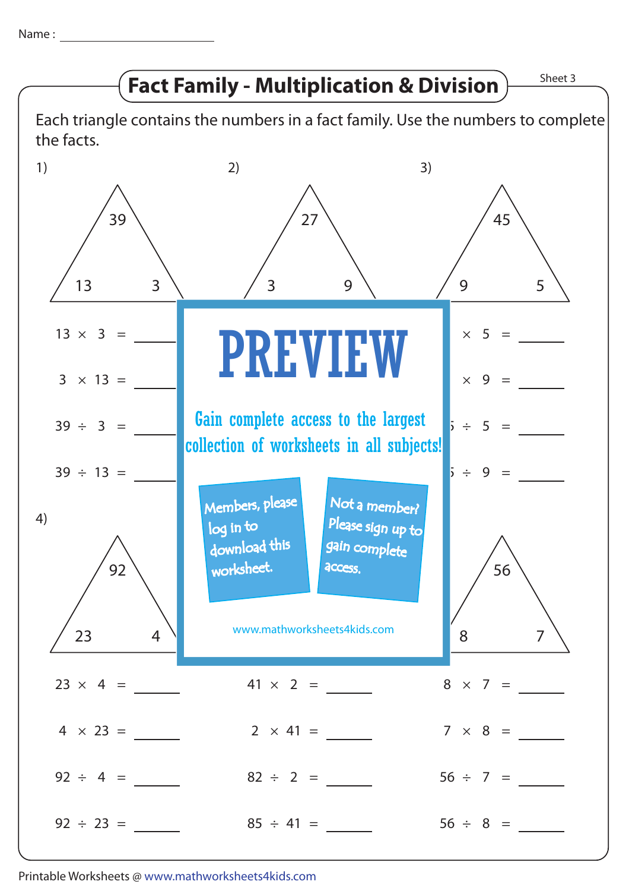Name :



Printable Worksheets @ www.mathworksheets4kids.com